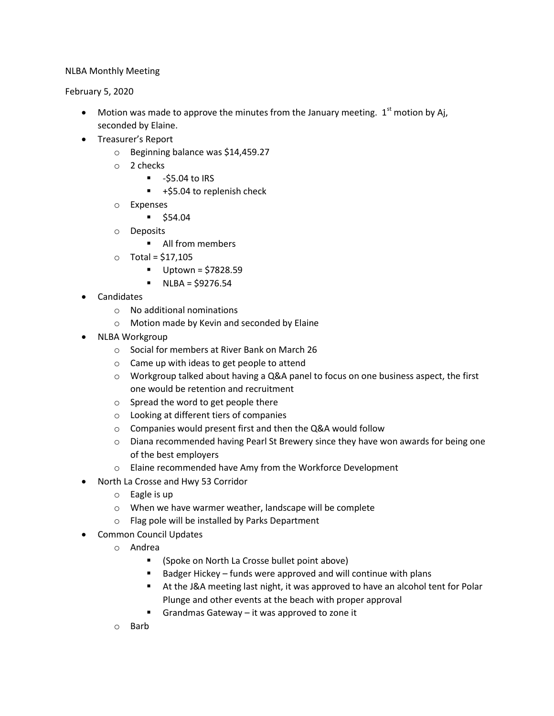## NLBA Monthly Meeting

February 5, 2020

- Motion was made to approve the minutes from the January meeting.  $1<sup>st</sup>$  motion by Aj, seconded by Elaine.
- Treasurer's Report
	- o Beginning balance was \$14,459.27
	- o 2 checks
		- $-55.04$  to IRS
		- $+$ \$5.04 to replenish check
	- o Expenses
		- $\bullet$  \$54.04
	- o Deposits
		- **All from members**
	- $\circ$  Total = \$17,105
		- $\blacksquare$  Uptown = \$7828.59
		- $NLBA = $9276.54$
- Candidates
	- o No additional nominations
	- o Motion made by Kevin and seconded by Elaine
- NLBA Workgroup
	- o Social for members at River Bank on March 26
	- o Came up with ideas to get people to attend
	- $\circ$  Workgroup talked about having a Q&A panel to focus on one business aspect, the first one would be retention and recruitment
	- o Spread the word to get people there
	- o Looking at different tiers of companies
	- o Companies would present first and then the Q&A would follow
	- o Diana recommended having Pearl St Brewery since they have won awards for being one of the best employers
	- o Elaine recommended have Amy from the Workforce Development
- North La Crosse and Hwy 53 Corridor
	- o Eagle is up
	- o When we have warmer weather, landscape will be complete
	- o Flag pole will be installed by Parks Department
- Common Council Updates
	- o Andrea
		- (Spoke on North La Crosse bullet point above)
		- Badger Hickey funds were approved and will continue with plans
		- At the J&A meeting last night, it was approved to have an alcohol tent for Polar Plunge and other events at the beach with proper approval
		- Grandmas Gateway it was approved to zone it
	- o Barb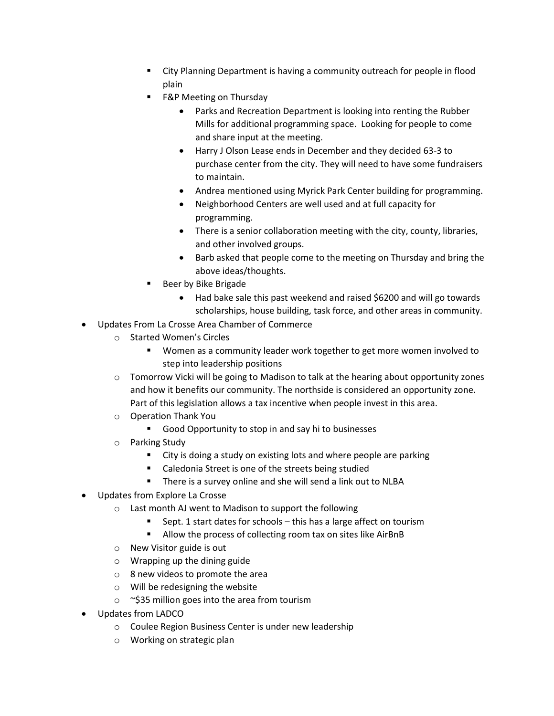- City Planning Department is having a community outreach for people in flood plain
- F&P Meeting on Thursday
	- Parks and Recreation Department is looking into renting the Rubber Mills for additional programming space. Looking for people to come and share input at the meeting.
	- Harry J Olson Lease ends in December and they decided 63-3 to purchase center from the city. They will need to have some fundraisers to maintain.
	- Andrea mentioned using Myrick Park Center building for programming.
	- Neighborhood Centers are well used and at full capacity for programming.
	- There is a senior collaboration meeting with the city, county, libraries, and other involved groups.
	- Barb asked that people come to the meeting on Thursday and bring the above ideas/thoughts.
- Beer by Bike Brigade
	- Had bake sale this past weekend and raised \$6200 and will go towards scholarships, house building, task force, and other areas in community.
- Updates From La Crosse Area Chamber of Commerce
	- o Started Women's Circles
		- Women as a community leader work together to get more women involved to step into leadership positions
	- $\circ$  Tomorrow Vicki will be going to Madison to talk at the hearing about opportunity zones and how it benefits our community. The northside is considered an opportunity zone. Part of this legislation allows a tax incentive when people invest in this area.
	- o Operation Thank You
		- **Good Opportunity to stop in and say hi to businesses**
	- o Parking Study
		- City is doing a study on existing lots and where people are parking
		- Caledonia Street is one of the streets being studied
		- There is a survey online and she will send a link out to NLBA
- Updates from Explore La Crosse
	- o Last month AJ went to Madison to support the following
		- Sept. 1 start dates for schools this has a large affect on tourism
		- Allow the process of collecting room tax on sites like AirBnB
	- o New Visitor guide is out
	- o Wrapping up the dining guide
	- o 8 new videos to promote the area
	- o Will be redesigning the website
	- $\circ$  ~\$35 million goes into the area from tourism
- Updates from LADCO
	- o Coulee Region Business Center is under new leadership
	- o Working on strategic plan